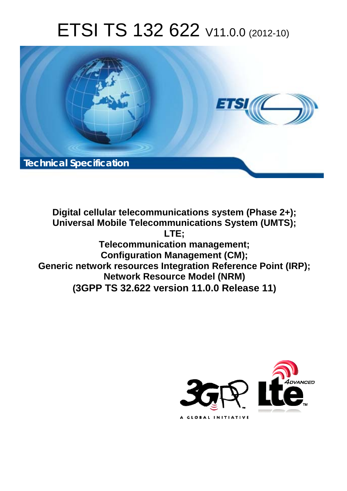# ETSI TS 132 622 V11.0.0 (2012-10)



**Digital cellular telecommunications system (Phase 2+); Universal Mobile Telecommunications System (UMTS); LTE; Telecommunication management; Configuration Management (CM); Generic network resources Integration Reference Point (IRP); Network Resource Model (NRM) (3GPP TS 32.622 version 11.0.0 Release 11)**

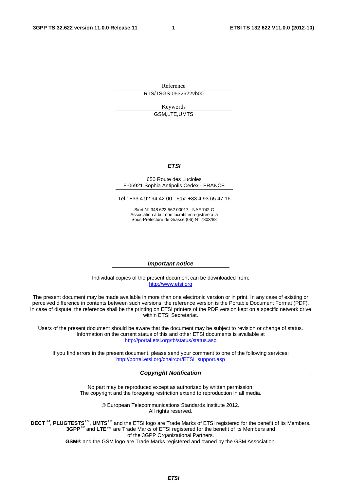Reference RTS/TSGS-0532622vb00

> Keywords GSM,LTE,UMTS

#### *ETSI*

#### 650 Route des Lucioles F-06921 Sophia Antipolis Cedex - FRANCE

Tel.: +33 4 92 94 42 00 Fax: +33 4 93 65 47 16

Siret N° 348 623 562 00017 - NAF 742 C Association à but non lucratif enregistrée à la Sous-Préfecture de Grasse (06) N° 7803/88

#### *Important notice*

Individual copies of the present document can be downloaded from: [http://www.etsi.org](http://www.etsi.org/)

The present document may be made available in more than one electronic version or in print. In any case of existing or perceived difference in contents between such versions, the reference version is the Portable Document Format (PDF). In case of dispute, the reference shall be the printing on ETSI printers of the PDF version kept on a specific network drive within ETSI Secretariat.

Users of the present document should be aware that the document may be subject to revision or change of status. Information on the current status of this and other ETSI documents is available at <http://portal.etsi.org/tb/status/status.asp>

If you find errors in the present document, please send your comment to one of the following services: [http://portal.etsi.org/chaircor/ETSI\\_support.asp](http://portal.etsi.org/chaircor/ETSI_support.asp)

#### *Copyright Notification*

No part may be reproduced except as authorized by written permission. The copyright and the foregoing restriction extend to reproduction in all media.

> © European Telecommunications Standards Institute 2012. All rights reserved.

DECT<sup>™</sup>, PLUGTESTS<sup>™</sup>, UMTS<sup>™</sup> and the ETSI logo are Trade Marks of ETSI registered for the benefit of its Members. **3GPP**TM and **LTE**™ are Trade Marks of ETSI registered for the benefit of its Members and of the 3GPP Organizational Partners.

**GSM**® and the GSM logo are Trade Marks registered and owned by the GSM Association.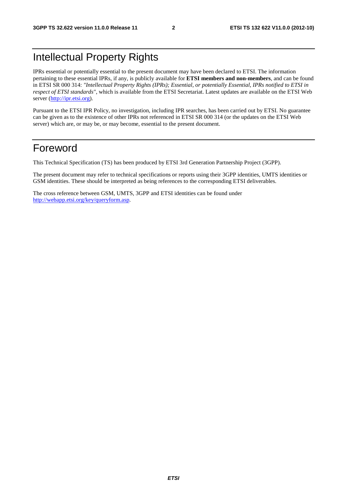## Intellectual Property Rights

IPRs essential or potentially essential to the present document may have been declared to ETSI. The information pertaining to these essential IPRs, if any, is publicly available for **ETSI members and non-members**, and can be found in ETSI SR 000 314: *"Intellectual Property Rights (IPRs); Essential, or potentially Essential, IPRs notified to ETSI in respect of ETSI standards"*, which is available from the ETSI Secretariat. Latest updates are available on the ETSI Web server [\(http://ipr.etsi.org](http://webapp.etsi.org/IPR/home.asp)).

Pursuant to the ETSI IPR Policy, no investigation, including IPR searches, has been carried out by ETSI. No guarantee can be given as to the existence of other IPRs not referenced in ETSI SR 000 314 (or the updates on the ETSI Web server) which are, or may be, or may become, essential to the present document.

## Foreword

This Technical Specification (TS) has been produced by ETSI 3rd Generation Partnership Project (3GPP).

The present document may refer to technical specifications or reports using their 3GPP identities, UMTS identities or GSM identities. These should be interpreted as being references to the corresponding ETSI deliverables.

The cross reference between GSM, UMTS, 3GPP and ETSI identities can be found under [http://webapp.etsi.org/key/queryform.asp.](http://webapp.etsi.org/key/queryform.asp)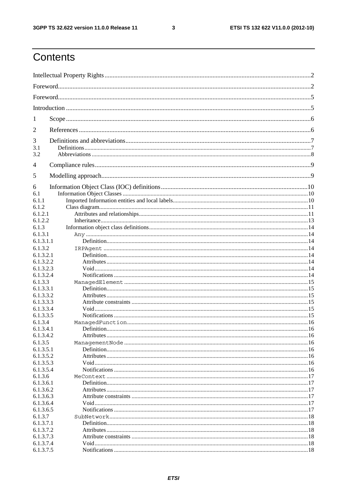$\mathbf{3}$ 

## Contents

| 1                      |  |
|------------------------|--|
| 2                      |  |
| 3                      |  |
| 3.1                    |  |
| 3.2                    |  |
| 4                      |  |
| 5                      |  |
| 6                      |  |
| 6.1                    |  |
| 6.1.1                  |  |
| 6.1.2<br>6.1.2.1       |  |
| 6.1.2.2                |  |
| 6.1.3                  |  |
| 6.1.3.1                |  |
| 6.1.3.1.1              |  |
| 6.1.3.2                |  |
| 6.1.3.2.1              |  |
| 6.1.3.2.2              |  |
| 6.1.3.2.3              |  |
| 6.1.3.2.4              |  |
| 6.1.3.3                |  |
| 6.1.3.3.1              |  |
| 6.1.3.3.2              |  |
| 6.1.3.3.3              |  |
| 6.1.3.3.4              |  |
| 6.1.3.3.5              |  |
| 6.1.3.4                |  |
| 6.1.3.4.1              |  |
| 6.1.3.4.2              |  |
| 6.1.3.5                |  |
| 6.1.3.5.1              |  |
| 6.1.3.5.2              |  |
| 6.1.3.5.3              |  |
| 6.1.3.5.4              |  |
| 6.1.3.6                |  |
| 6.1.3.6.1<br>6.1.3.6.2 |  |
| 6.1.3.6.3              |  |
| 6.1.3.6.4              |  |
| 6.1.3.6.5              |  |
| 6.1.3.7                |  |
| 6.1.3.7.1              |  |
| 6.1.3.7.2              |  |
| 6.1.3.7.3              |  |
| 6.1.3.7.4              |  |
| 6.1.3.7.5              |  |
|                        |  |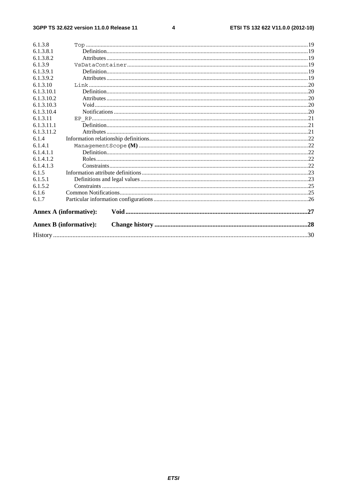#### $\overline{\mathbf{4}}$

| 6.1.3.8    |                               |  |
|------------|-------------------------------|--|
| 6.1.3.8.1  |                               |  |
| 6.1.3.8.2  |                               |  |
| 6.1.3.9    |                               |  |
| 6.1.3.9.1  |                               |  |
| 6.1.3.9.2  |                               |  |
| 6.1.3.10   |                               |  |
| 6.1.3.10.1 |                               |  |
| 6.1.3.10.2 |                               |  |
| 6.1.3.10.3 |                               |  |
| 6.1.3.10.4 |                               |  |
| 6.1.3.11   |                               |  |
| 6.1.3.11.1 |                               |  |
| 6.1.3.11.2 |                               |  |
| 6.1.4      |                               |  |
| 6.1.4.1    |                               |  |
| 6.1.4.1.1  |                               |  |
| 6.1.4.1.2  |                               |  |
| 6.1.4.1.3  |                               |  |
| 6.1.5      |                               |  |
| 6.1.5.1    |                               |  |
| 6.1.5.2    |                               |  |
| 6.1.6      |                               |  |
| 6.1.7      |                               |  |
|            |                               |  |
|            | <b>Annex A (informative):</b> |  |
|            | <b>Annex B</b> (informative): |  |
|            |                               |  |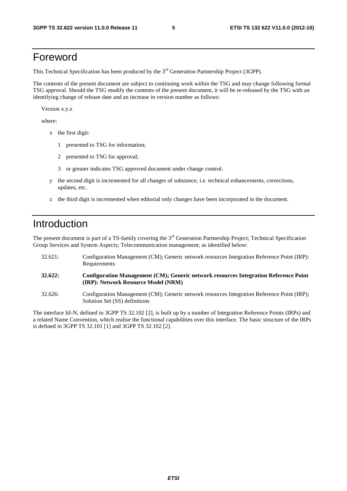### Foreword

This Technical Specification has been produced by the 3<sup>rd</sup> Generation Partnership Project (3GPP).

The contents of the present document are subject to continuing work within the TSG and may change following formal TSG approval. Should the TSG modify the contents of the present document, it will be re-released by the TSG with an identifying change of release date and an increase in version number as follows:

Version x.y.z

where:

- x the first digit:
	- 1 presented to TSG for information;
	- 2 presented to TSG for approval;
	- 3 or greater indicates TSG approved document under change control.
- y the second digit is incremented for all changes of substance, i.e. technical enhancements, corrections, updates, etc.
- z the third digit is incremented when editorial only changes have been incorporated in the document.

## Introduction

The present document is part of a TS-family covering the 3<sup>rd</sup> Generation Partnership Project; Technical Specification Group Services and System Aspects; Telecommunication management; as identified below:

- 32.621: Configuration Management (CM); Generic network resources Integration Reference Point (IRP): Requirements **32.622: Configuration Management (CM); Generic network resources Integration Reference Point (IRP): Network Resource Model (NRM)**  32.626: Configuration Management (CM); Generic network resources Integration Reference Point (IRP);
- Solution Set (SS) definitions

The interface Itf-N, defined in 3GPP TS 32.102 [2], is built up by a number of Integration Reference Points (IRPs) and a related Name Convention, which realise the functional capabilities over this interface. The basic structure of the IRPs is defined in 3GPP TS 32.101 [1] and 3GPP TS 32.102 [2].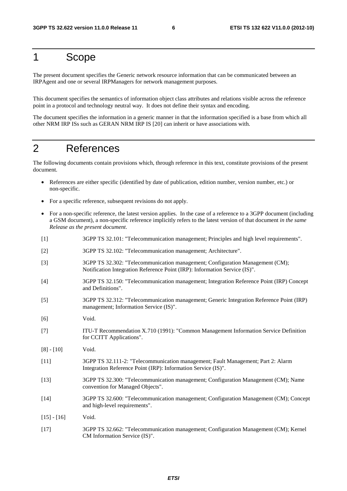## 1 Scope

The present document specifies the Generic network resource information that can be communicated between an IRPAgent and one or several IRPManagers for network management purposes.

This document specifies the semantics of information object class attributes and relations visible across the reference point in a protocol and technology neutral way. It does not define their syntax and encoding.

The document specifies the information in a generic manner in that the information specified is a base from which all other NRM IRP ISs such as GERAN NRM IRP IS [20] can inherit or have associations with.

## 2 References

The following documents contain provisions which, through reference in this text, constitute provisions of the present document.

- References are either specific (identified by date of publication, edition number, version number, etc.) or non-specific.
- For a specific reference, subsequent revisions do not apply.
- For a non-specific reference, the latest version applies. In the case of a reference to a 3GPP document (including a GSM document), a non-specific reference implicitly refers to the latest version of that document *in the same Release as the present document*.
- [1] 3GPP TS 32.101: "Telecommunication management; Principles and high level requirements".
- [2] 3GPP TS 32.102: "Telecommunication management; Architecture".
- [3] 3GPP TS 32.302: "Telecommunication management; Configuration Management (CM); Notification Integration Reference Point (IRP): Information Service (IS)".
- [4] 3GPP TS 32.150: "Telecommunication management; Integration Reference Point (IRP) Concept and Definitions".
- [5] 3GPP TS 32.312: "Telecommunication management; Generic Integration Reference Point (IRP) management; Information Service (IS)".
- [6] Void.
- [7] ITU-T Recommendation X.710 (1991): "Common Management Information Service Definition for CCITT Applications".
- [8] [10] Void.
- [11] 3GPP TS 32.111-2: "Telecommunication management; Fault Management; Part 2: Alarm Integration Reference Point (IRP): Information Service (IS)".
- [13] 3GPP TS 32.300: "Telecommunication management; Configuration Management (CM); Name convention for Managed Objects".
- [14] 3GPP TS 32.600: "Telecommunication management; Configuration Management (CM); Concept and high-level requirements".
- $[15] [16]$  Void.
- [17] 3GPP TS 32.662: "Telecommunication management; Configuration Management (CM); Kernel CM Information Service (IS)".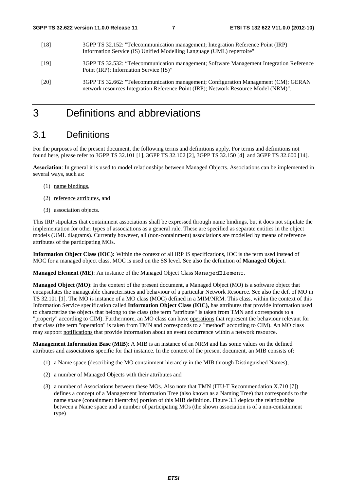- [18] 3GPP TS 32.152: "Telecommunication management; Integration Reference Point (IRP) Information Service (IS) Unified Modelling Language (UML) repertoire".
- [19] 3GPP TS 32.532: "Telecommunication management; Software Management Integration Reference Point (IRP); Information Service (IS)"
- [20] 3GPP TS 32.662: "Telecommunication management; Configuration Management (CM); GERAN network resources Integration Reference Point (IRP); Network Resource Model (NRM)".

## 3 Definitions and abbreviations

### 3.1 Definitions

For the purposes of the present document, the following terms and definitions apply. For terms and definitions not found here, please refer to 3GPP TS 32.101 [1], 3GPP TS 32.102 [2], 3GPP TS 32.150 [4] and 3GPP TS 32.600 [14].

**Association**: In general it is used to model relationships between Managed Objects. Associations can be implemented in several ways, such as:

- (1) name bindings,
- (2) reference attributes, and
- (3) association objects.

This IRP stipulates that containment associations shall be expressed through name bindings, but it does not stipulate the implementation for other types of associations as a general rule. These are specified as separate entities in the object models (UML diagrams). Currently however, all (non-containment) associations are modelled by means of reference attributes of the participating MOs.

**Information Object Class (IOC):** Within the context of all IRP IS specifications, IOC is the term used instead of MOC for a managed object class. MOC is used on the SS level. See also the definition of **Managed Object.**

**Managed Element (ME)**: An instance of the Managed Object Class ManagedElement.

**Managed Object (MO)**: In the context of the present document, a Managed Object (MO) is a software object that encapsulates the manageable characteristics and behaviour of a particular Network Resource. See also the def. of MO in TS 32.101 [1]. The MO is instance of a MO class (MOC) defined in a MIM/NRM. This class, within the context of this Information Service specification called **Information Object Class (IOC),** has attributes that provide information used to characterize the objects that belong to the class (the term "attribute" is taken from TMN and corresponds to a "property" according to CIM). Furthermore, an MO class can have operations that represent the behaviour relevant for that class (the term "operation" is taken from TMN and corresponds to a "method" according to CIM). An MO class may support notifications that provide information about an event occurrence within a network resource.

**Management Information Base (MIB)**: A MIB is an instance of an NRM and has some values on the defined attributes and associations specific for that instance. In the context of the present document, an MIB consists of:

- (1) a Name space (describing the MO containment hierarchy in the MIB through Distinguished Names),
- (2) a number of Managed Objects with their attributes and
- (3) a number of Associations between these MOs. Also note that TMN (ITU-T Recommendation X.710 [7]) defines a concept of a Management Information Tree (also known as a Naming Tree) that corresponds to the name space (containment hierarchy) portion of this MIB definition. Figure 3.1 depicts the relationships between a Name space and a number of participating MOs (the shown association is of a non-containment type)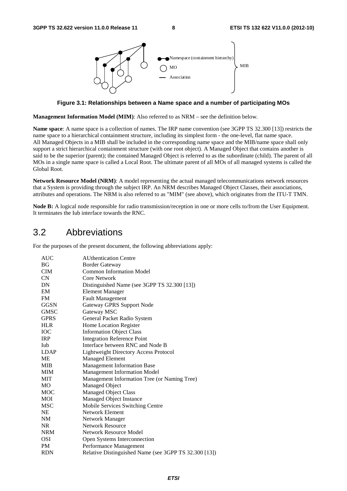

**Figure 3.1: Relationships between a Name space and a number of participating MOs** 

**Management Information Model (MIM)**: Also referred to as NRM – see the definition below.

**Name space**: A name space is a collection of names. The IRP name convention (see 3GPP TS 32.300 [13]) restricts the name space to a hierarchical containment structure, including its simplest form - the one-level, flat name space. All Managed Objects in a MIB shall be included in the corresponding name space and the MIB/name space shall only support a strict hierarchical containment structure (with one root object). A Managed Object that contains another is said to be the superior (parent); the contained Managed Object is referred to as the subordinate (child). The parent of all MOs in a single name space is called a Local Root. The ultimate parent of all MOs of all managed systems is called the Global Root.

**Network Resource Model (NRM)**: A model representing the actual managed telecommunications network resources that a System is providing through the subject IRP. An NRM describes Managed Object Classes, their associations, attributes and operations. The NRM is also referred to as "MIM" (see above), which originates from the ITU-T TMN.

**Node B:** A logical node responsible for radio transmission/reception in one or more cells to/from the User Equipment. It terminates the Iub interface towards the RNC.

### 3.2 Abbreviations

For the purposes of the present document, the following abbreviations apply:

| BG<br><b>Border Gateway</b><br><b>Common Information Model</b><br><b>CIM</b><br>CN<br><b>Core Network</b><br>DN<br>Distinguished Name (see 3GPP TS 32.300 [13])<br><b>Element Manager</b><br>EM<br><b>Fault Management</b><br>FM<br><b>GGSN</b><br><b>Gateway GPRS Support Node</b><br>Gateway MSC<br>GMSC<br><b>GPRS</b><br>General Packet Radio System<br><b>HLR</b><br>Home Location Register<br><b>IOC</b><br><b>Information Object Class</b><br><b>Integration Reference Point</b><br><b>IRP</b><br>Interface between RNC and Node B<br>Iub<br><b>LDAP</b><br><b>Lightweight Directory Access Protocol</b><br>ME<br><b>Managed Element</b><br><b>MIB</b><br><b>Management Information Base</b><br>Management Information Model<br>МIМ<br><b>MIT</b><br>Management Information Tree (or Naming Tree)<br><b>Managed Object</b><br>MO<br><b>MOC</b><br><b>Managed Object Class</b><br>Managed Object Instance<br>MOI<br><b>MSC</b><br>Mobile Services Switching Centre<br><b>NE</b><br>Network Element<br>NM<br>Network Manager<br><b>Network Resource</b><br><b>NR</b><br><b>NRM</b><br>Network Resource Model<br>OSI<br>Open Systems Interconnection<br>PM<br>Performance Management<br>Relative Distinguished Name (see 3GPP TS 32.300 [13])<br><b>RDN</b> | AUC | <b>AUthentication Centre</b> |
|-----------------------------------------------------------------------------------------------------------------------------------------------------------------------------------------------------------------------------------------------------------------------------------------------------------------------------------------------------------------------------------------------------------------------------------------------------------------------------------------------------------------------------------------------------------------------------------------------------------------------------------------------------------------------------------------------------------------------------------------------------------------------------------------------------------------------------------------------------------------------------------------------------------------------------------------------------------------------------------------------------------------------------------------------------------------------------------------------------------------------------------------------------------------------------------------------------------------------------------------------------------------|-----|------------------------------|
|                                                                                                                                                                                                                                                                                                                                                                                                                                                                                                                                                                                                                                                                                                                                                                                                                                                                                                                                                                                                                                                                                                                                                                                                                                                                 |     |                              |
|                                                                                                                                                                                                                                                                                                                                                                                                                                                                                                                                                                                                                                                                                                                                                                                                                                                                                                                                                                                                                                                                                                                                                                                                                                                                 |     |                              |
|                                                                                                                                                                                                                                                                                                                                                                                                                                                                                                                                                                                                                                                                                                                                                                                                                                                                                                                                                                                                                                                                                                                                                                                                                                                                 |     |                              |
|                                                                                                                                                                                                                                                                                                                                                                                                                                                                                                                                                                                                                                                                                                                                                                                                                                                                                                                                                                                                                                                                                                                                                                                                                                                                 |     |                              |
|                                                                                                                                                                                                                                                                                                                                                                                                                                                                                                                                                                                                                                                                                                                                                                                                                                                                                                                                                                                                                                                                                                                                                                                                                                                                 |     |                              |
|                                                                                                                                                                                                                                                                                                                                                                                                                                                                                                                                                                                                                                                                                                                                                                                                                                                                                                                                                                                                                                                                                                                                                                                                                                                                 |     |                              |
|                                                                                                                                                                                                                                                                                                                                                                                                                                                                                                                                                                                                                                                                                                                                                                                                                                                                                                                                                                                                                                                                                                                                                                                                                                                                 |     |                              |
|                                                                                                                                                                                                                                                                                                                                                                                                                                                                                                                                                                                                                                                                                                                                                                                                                                                                                                                                                                                                                                                                                                                                                                                                                                                                 |     |                              |
|                                                                                                                                                                                                                                                                                                                                                                                                                                                                                                                                                                                                                                                                                                                                                                                                                                                                                                                                                                                                                                                                                                                                                                                                                                                                 |     |                              |
|                                                                                                                                                                                                                                                                                                                                                                                                                                                                                                                                                                                                                                                                                                                                                                                                                                                                                                                                                                                                                                                                                                                                                                                                                                                                 |     |                              |
|                                                                                                                                                                                                                                                                                                                                                                                                                                                                                                                                                                                                                                                                                                                                                                                                                                                                                                                                                                                                                                                                                                                                                                                                                                                                 |     |                              |
|                                                                                                                                                                                                                                                                                                                                                                                                                                                                                                                                                                                                                                                                                                                                                                                                                                                                                                                                                                                                                                                                                                                                                                                                                                                                 |     |                              |
|                                                                                                                                                                                                                                                                                                                                                                                                                                                                                                                                                                                                                                                                                                                                                                                                                                                                                                                                                                                                                                                                                                                                                                                                                                                                 |     |                              |
|                                                                                                                                                                                                                                                                                                                                                                                                                                                                                                                                                                                                                                                                                                                                                                                                                                                                                                                                                                                                                                                                                                                                                                                                                                                                 |     |                              |
|                                                                                                                                                                                                                                                                                                                                                                                                                                                                                                                                                                                                                                                                                                                                                                                                                                                                                                                                                                                                                                                                                                                                                                                                                                                                 |     |                              |
|                                                                                                                                                                                                                                                                                                                                                                                                                                                                                                                                                                                                                                                                                                                                                                                                                                                                                                                                                                                                                                                                                                                                                                                                                                                                 |     |                              |
|                                                                                                                                                                                                                                                                                                                                                                                                                                                                                                                                                                                                                                                                                                                                                                                                                                                                                                                                                                                                                                                                                                                                                                                                                                                                 |     |                              |
|                                                                                                                                                                                                                                                                                                                                                                                                                                                                                                                                                                                                                                                                                                                                                                                                                                                                                                                                                                                                                                                                                                                                                                                                                                                                 |     |                              |
|                                                                                                                                                                                                                                                                                                                                                                                                                                                                                                                                                                                                                                                                                                                                                                                                                                                                                                                                                                                                                                                                                                                                                                                                                                                                 |     |                              |
|                                                                                                                                                                                                                                                                                                                                                                                                                                                                                                                                                                                                                                                                                                                                                                                                                                                                                                                                                                                                                                                                                                                                                                                                                                                                 |     |                              |
|                                                                                                                                                                                                                                                                                                                                                                                                                                                                                                                                                                                                                                                                                                                                                                                                                                                                                                                                                                                                                                                                                                                                                                                                                                                                 |     |                              |
|                                                                                                                                                                                                                                                                                                                                                                                                                                                                                                                                                                                                                                                                                                                                                                                                                                                                                                                                                                                                                                                                                                                                                                                                                                                                 |     |                              |
|                                                                                                                                                                                                                                                                                                                                                                                                                                                                                                                                                                                                                                                                                                                                                                                                                                                                                                                                                                                                                                                                                                                                                                                                                                                                 |     |                              |
|                                                                                                                                                                                                                                                                                                                                                                                                                                                                                                                                                                                                                                                                                                                                                                                                                                                                                                                                                                                                                                                                                                                                                                                                                                                                 |     |                              |
|                                                                                                                                                                                                                                                                                                                                                                                                                                                                                                                                                                                                                                                                                                                                                                                                                                                                                                                                                                                                                                                                                                                                                                                                                                                                 |     |                              |
|                                                                                                                                                                                                                                                                                                                                                                                                                                                                                                                                                                                                                                                                                                                                                                                                                                                                                                                                                                                                                                                                                                                                                                                                                                                                 |     |                              |
|                                                                                                                                                                                                                                                                                                                                                                                                                                                                                                                                                                                                                                                                                                                                                                                                                                                                                                                                                                                                                                                                                                                                                                                                                                                                 |     |                              |
|                                                                                                                                                                                                                                                                                                                                                                                                                                                                                                                                                                                                                                                                                                                                                                                                                                                                                                                                                                                                                                                                                                                                                                                                                                                                 |     |                              |
|                                                                                                                                                                                                                                                                                                                                                                                                                                                                                                                                                                                                                                                                                                                                                                                                                                                                                                                                                                                                                                                                                                                                                                                                                                                                 |     |                              |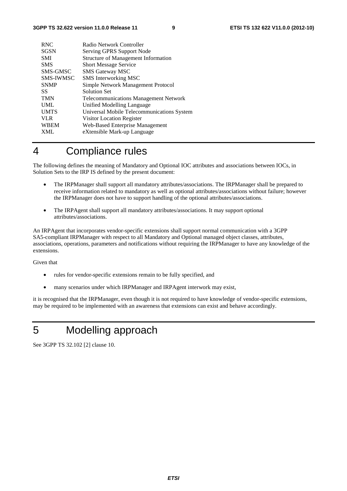| <b>RNC</b>       | Radio Network Controller                     |
|------------------|----------------------------------------------|
| <b>SGSN</b>      | Serving GPRS Support Node                    |
| <b>SMI</b>       | <b>Structure of Management Information</b>   |
| <b>SMS</b>       | <b>Short Message Service</b>                 |
| SMS-GMSC         | <b>SMS Gateway MSC</b>                       |
| <b>SMS-IWMSC</b> | SMS Interworking MSC                         |
| <b>SNMP</b>      | Simple Network Management Protocol           |
| SS.              | <b>Solution Set</b>                          |
| <b>TMN</b>       | <b>Telecommunications Management Network</b> |
| <b>UML</b>       | Unified Modelling Language                   |
| <b>UMTS</b>      | Universal Mobile Telecommunications System   |
| <b>VLR</b>       | Visitor Location Register                    |
| <b>WBEM</b>      | <b>Web-Based Enterprise Management</b>       |
| <b>XML</b>       | eXtensible Mark-up Language                  |
|                  |                                              |

## 4 Compliance rules

The following defines the meaning of Mandatory and Optional IOC attributes and associations between IOCs, in Solution Sets to the IRP IS defined by the present document:

- The IRPManager shall support all mandatory attributes/associations. The IRPManager shall be prepared to receive information related to mandatory as well as optional attributes/associations without failure; however the IRPManager does not have to support handling of the optional attributes/associations.
- The IRPAgent shall support all mandatory attributes/associations. It may support optional attributes/associations.

An IRPAgent that incorporates vendor-specific extensions shall support normal communication with a 3GPP SA5-compliant IRPManager with respect to all Mandatory and Optional managed object classes, attributes, associations, operations, parameters and notifications without requiring the IRPManager to have any knowledge of the extensions.

Given that

- rules for vendor-specific extensions remain to be fully specified, and
- many scenarios under which IRPManager and IRPAgent interwork may exist,

it is recognised that the IRPManager, even though it is not required to have knowledge of vendor-specific extensions, may be required to be implemented with an awareness that extensions can exist and behave accordingly.

## 5 Modelling approach

See 3GPP TS 32.102 [2] clause 10.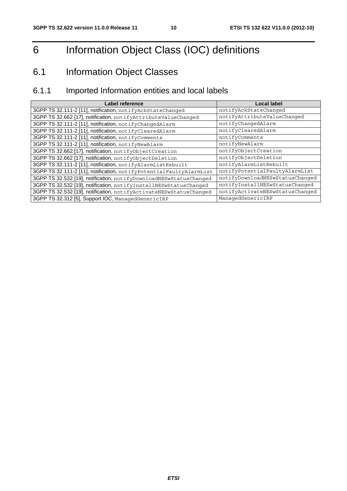## 6 Information Object Class (IOC) definitions

## 6.1 Information Object Classes

## 6.1.1 Imported Information entities and local labels

| Label reference                                                     | <b>Local label</b>              |
|---------------------------------------------------------------------|---------------------------------|
| 3GPP TS 32.111-2 [11], notification, notifyAckStateChanged          | notifyAckStateChanged           |
| 3GPP TS 32.662 [17], notification, notifyAttributeValueChanged      | notifyAttributeValueChanged     |
| 3GPP TS 32.111-2 [11], notification, notifyChangedAlarm             | notifyChangedAlarm              |
| 3GPP TS 32.111-2 [11], notification, notifyClearedAlarm             | notifyClearedAlarm              |
| 3GPP TS 32.111-2 [11], notification, notifyComments                 | notifyComments                  |
| 3GPP TS 32.111-2 [11], notification, notifyNewAlarm                 | notifyNewAlarm                  |
| 3GPP TS 32.662 [17], notification, notifyObjectCreation             | notifyObjectCreation            |
| 3GPP TS 32.662 [17], notification, notifyObjectDeletion             | notifyObjectDeletion            |
| 3GPP TS 32.111-2 [11], notification, notifyAlarmListRebuilt         | notifyAlarmListRebuilt          |
| 3GPP TS 32.111-2 [11], notification, notifyPotentialFaultyAlarmList | notifyPotentialFaultyAlarmList  |
| 3GPP TS 32.532 [19], notification, notifyDownloadNESwStatusChanged  | notifyDownloadNESwStatusChanged |
| 3GPP TS 32.532 [19], notification, notifyInstallNESwStatusChanged   | notifyInstallNESwStatusChanged  |
| 3GPP TS 32.532 [19], notification, notifyActivateNESwStatusChanged  | notifyActivateNESwStatusChanged |
| 3GPP TS 32.312 [5], Support IOC, ManagedGenericIRP                  | ManagedGenericIRP               |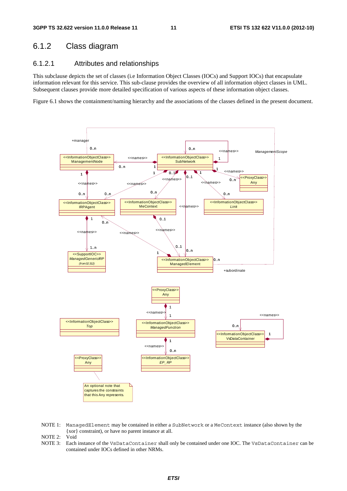### 6.1.2 Class diagram

#### 6.1.2.1 Attributes and relationships

This subclause depicts the set of classes (i.e Information Object Classes (IOCs) and Support IOCs) that encapsulate information relevant for this service. This sub-clause provides the overview of all information object classes in UML. Subsequent clauses provide more detailed specification of various aspects of these information object classes.

Figure 6.1 shows the containment/naming hierarchy and the associations of the classes defined in the present document.



NOTE 1: ManagedElement may be contained in either a SubNetwork or a MeContext instance (also shown by the {xor} constraint), or have no parent instance at all.

NOTE 2: Void

NOTE 3: Each instance of the VsDataContainer shall only be contained under one IOC. The VsDataContainer can be contained under IOCs defined in other NRMs.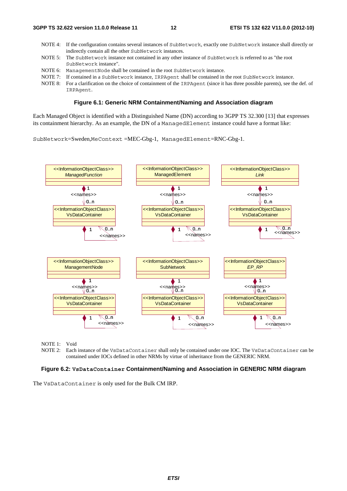- NOTE 4: If the configuration contains several instances of SubNetwork, exactly one SubNetwork instance shall directly or indirectly contain all the other SubNetwork instances.
- NOTE 5: The SubNetwork instance not contained in any other instance of SubNetwork is referred to as "the root SubNetwork instance".
- NOTE 6: ManagementNode shall be contained in the root SubNetwork instance.
- NOTE 7: If contained in a SubNetwork instance, IRPAgent shall be contained in the root SubNetwork instance.
- NOTE 8: For a clarification on the choice of containment of the IRPAgent (since it has three possible parents), see the def. of IRPAgent.

#### **Figure 6.1: Generic NRM Containment/Naming and Association diagram**

Each Managed Object is identified with a Distinguished Name (DN) according to 3GPP TS 32.300 [13] that expresses its containment hierarchy. As an example, the DN of a ManagedElement instance could have a format like:

SubNetwork=Sweden,MeContext =MEC-Gbg-1, ManagedElement=RNC-Gbg-1.



NOTE 1: Void<br>NOTE 2: Each

Each instance of the VsDataContainer shall only be contained under one IOC. The VsDataContainer can be contained under IOCs defined in other NRMs by virtue of inheritance from the GENERIC NRM.

#### **Figure 6.2: VsDataContainer Containment/Naming and Association in GENERIC NRM diagram**

The VsDataContainer is only used for the Bulk CM IRP.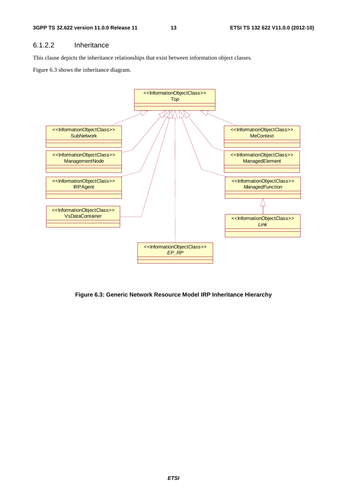#### 6.1.2.2 Inheritance

This clause depicts the inheritance relationships that exist between information object classes.

Figure 6.3 shows the inheritance diagram.



**Figure 6.3: Generic Network Resource Model IRP Inheritance Hierarchy**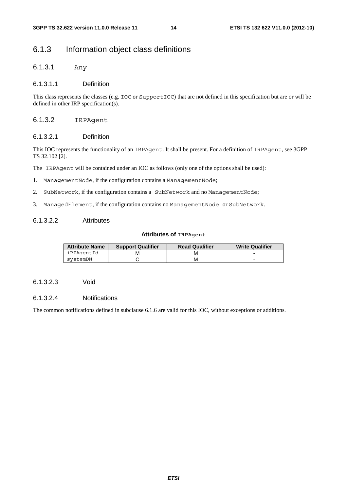### 6.1.3 Information object class definitions

6.1.3.1 Any

#### 6.1.3.1.1 Definition

This class represents the classes (e.g. IOC or SupportIOC) that are not defined in this specification but are or will be defined in other IRP specification(s).

#### 6.1.3.2 IRPAgent

#### 6.1.3.2.1 Definition

This IOC represents the functionality of an IRPAgent. It shall be present. For a definition of IRPAgent, see 3GPP TS 32.102 [2].

The IRPAgent will be contained under an IOC as follows (only one of the options shall be used):

- 1. ManagementNode, if the configuration contains a ManagementNode;
- 2. SubNetwork, if the configuration contains a SubNetwork and no ManagementNode;
- 3. ManagedElement, if the configuration contains no ManagementNode or SubNetwork.

#### 6.1.3.2.2 Attributes

#### **Attributes of IRPAgent**

| <b>Attribute Name</b> | <b>Support Qualifier</b> | <b>Read Qualifier</b> | <b>Write Qualifier</b> |
|-----------------------|--------------------------|-----------------------|------------------------|
| iRPAgentId            |                          |                       |                        |
| svstemDN              |                          | м                     |                        |

#### 6.1.3.2.3 Void

#### 6.1.3.2.4 Notifications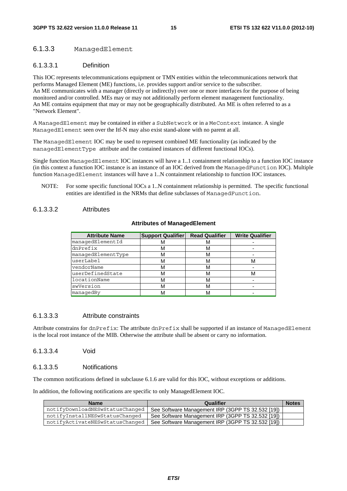#### 6.1.3.3 ManagedElement

#### 6.1.3.3.1 Definition

This IOC represents telecommunications equipment or TMN entities within the telecommunications network that performs Managed Element (ME) functions, i.e. provides support and/or service to the subscriber. An ME communicates with a manager (directly or indirectly) over one or more interfaces for the purpose of being monitored and/or controlled. MEs may or may not additionally perform element management functionality. An ME contains equipment that may or may not be geographically distributed. An ME is often referred to as a "Network Element".

A ManagedElement may be contained in either a SubNetwork or in a MeContext instance. A single ManagedElement seen over the Itf-N may also exist stand-alone with no parent at all.

The ManagedElement IOC may be used to represent combined ME functionality (as indicated by the managedElementType attribute and the contained instances of different functional IOCs).

Single function ManagedElement IOC instances will have a 1..1 containment relationship to a function IOC instance (in this context a function IOC instance is an instance of an IOC derived from the ManagedFunction IOC). Multiple function ManagedElement instances will have a 1..N containment relationship to function IOC instances.

NOTE: For some specific functional IOCs a 1..N containment relationship is permitted. The specific functional entities are identified in the NRMs that define subclasses of ManagedFunction.

#### 6.1.3.3.2 Attributes

#### **Attributes of ManagedElement**

| <b>Attribute Name</b> | <b>Support Qualifier</b> | <b>Read Qualifier</b> | <b>Write Qualifier</b> |
|-----------------------|--------------------------|-----------------------|------------------------|
| managedElementId      |                          | M                     |                        |
| dnPrefix              |                          | м                     |                        |
| managedElementType    |                          | м                     |                        |
| userLabel             |                          | м                     | м                      |
| vendorName            | M                        | м                     |                        |
| userDefinedState      | M                        | м                     | м                      |
| locationName          |                          | м                     |                        |
| swVersion             |                          | м                     |                        |
| managedBy             |                          | М                     |                        |

#### 6.1.3.3.3 Attribute constraints

Attribute constrains for dnPrefix: The attribute dnPrefix shall be supported if an instance of ManagedElement is the local root instance of the MIB. Otherwise the attribute shall be absent or carry no information.

#### 6.1.3.3.4 Void

#### 6.1.3.3.5 Notifications

The common notifications defined in subclause 6.1.6 are valid for this IOC, without exceptions or additions.

In addition, the following notifications are specific to only ManagedElement IOC.

| <b>Name</b>                     | Qualifier                                         | <b>Notes</b> |
|---------------------------------|---------------------------------------------------|--------------|
| notifyDownloadNESwStatusChanged | See Software Management IRP (3GPP TS 32.532 [19]) |              |
| notifyInstallNESwStatusChanged  | See Software Management IRP (3GPP TS 32.532 [19]) |              |
| notifyActivateNESwStatusChanged | See Software Management IRP (3GPP TS 32.532 [19]) |              |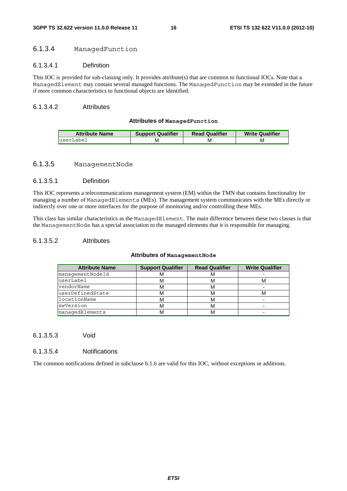#### 6.1.3.4 ManagedFunction

#### 6.1.3.4.1 Definition

This IOC is provided for sub-classing only. It provides attribute(s) that are common to functional IOCs. Note that a ManagedElement may contain several managed functions. The ManagedFunction may be extended in the future if more common characteristics to functional objects are identified.

#### 6.1.3.4.2 Attributes

#### **Attributes of ManagedFunction**

| <b>Attribute Name</b> | <b>Support Qualifier</b> | <b>Read Qualifier</b> | <b>Write Qualifier</b> |
|-----------------------|--------------------------|-----------------------|------------------------|
| luserLabel            | M                        | ΙVΙ                   | M                      |

#### 6.1.3.5 ManagementNode

#### 6.1.3.5.1 Definition

This IOC represents a telecommunications management system (EM) within the TMN that contains functionality for managing a number of ManagedElements (MEs). The management system communicates with the MEs directly or indirectly over one or more interfaces for the purpose of monitoring and/or controlling these MEs.

This class has similar characteristics as the ManagedElement. The main difference between these two classes is that the ManagementNode has a special association to the managed elements that it is responsible for managing.

#### 6.1.3.5.2 Attributes

#### **Attributes of ManagementNode**

| <b>Attribute Name</b> | <b>Support Qualifier</b> | <b>Read Qualifier</b> | <b>Write Qualifier</b> |
|-----------------------|--------------------------|-----------------------|------------------------|
| managementNodeId      |                          | ΙVΙ                   |                        |
| userLabel             | M                        | м                     | ΙVΙ                    |
| vendorName            |                          | м                     |                        |
| luserDefinedState     | M                        | м                     | M                      |
| locationName          |                          | М                     |                        |
| swVersion             | M                        | м                     |                        |
| managedElements       |                          | ΙVΙ                   |                        |

#### 6.1.3.5.3 Void

#### 6.1.3.5.4 Notifications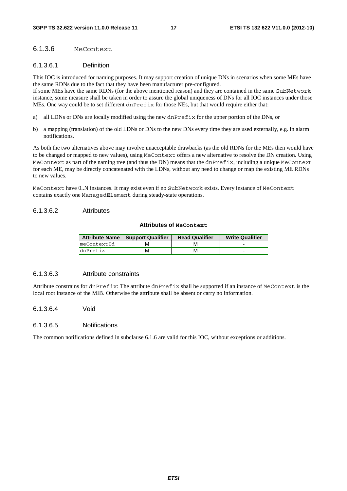#### 6.1.3.6 MeContext

#### 6.1.3.6.1 Definition

This IOC is introduced for naming purposes. It may support creation of unique DNs in scenarios when some MEs have the same RDNs due to the fact that they have been manufacturer pre-configured.

If some MEs have the same RDNs (for the above mentioned reason) and they are contained in the same SubNetwork instance, some measure shall be taken in order to assure the global uniqueness of DNs for all IOC instances under those MEs. One way could be to set different dnPrefix for those NEs, but that would require either that:

- a) all LDNs or DNs are locally modified using the new dnPrefix for the upper portion of the DNs, or
- b) a mapping (translation) of the old LDNs or DNs to the new DNs every time they are used externally, e.g. in alarm notifications.

As both the two alternatives above may involve unacceptable drawbacks (as the old RDNs for the MEs then would have to be changed or mapped to new values), using MeContext offers a new alternative to resolve the DN creation. Using MeContext as part of the naming tree (and thus the DN) means that the dnPrefix, including a unique MeContext for each ME, may be directly concatenated with the LDNs, without any need to change or map the existing ME RDNs to new values.

MeContext have 0..N instances. It may exist even if no SubNetwork exists. Every instance of MeContext contains exactly one ManagedElement during steady-state operations.

#### 6.1.3.6.2 Attributes

#### **Attributes of MeContext**

|             | Attribute Name   Support Qualifier | <b>Read Qualifier</b> | <b>Write Qualifier</b> |
|-------------|------------------------------------|-----------------------|------------------------|
| meContextId |                                    |                       | -                      |
| dnPrefix    |                                    | м                     | -                      |

#### 6.1.3.6.3 Attribute constraints

Attribute constrains for dnPrefix: The attribute dnPrefix shall be supported if an instance of MeContext is the local root instance of the MIB. Otherwise the attribute shall be absent or carry no information.

6.1.3.6.4 Void

#### 6.1.3.6.5 Notifications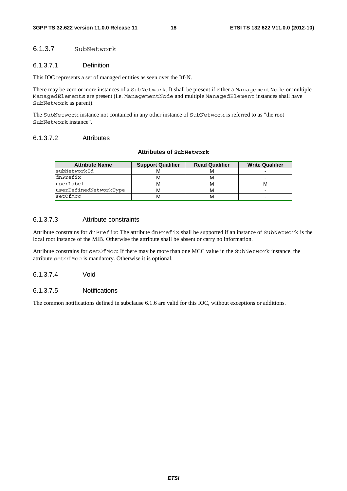#### 6.1.3.7 SubNetwork

#### 6.1.3.7.1 Definition

This IOC represents a set of managed entities as seen over the Itf-N.

There may be zero or more instances of a SubNetwork. It shall be present if either a ManagementNode or multiple ManagedElements are present (i.e. ManagementNode and multiple ManagedElement instances shall have SubNetwork as parent).

The SubNetwork instance not contained in any other instance of SubNetwork is referred to as "the root SubNetwork instance".

#### 6.1.3.7.2 Attributes

#### **Attributes of SubNetwork**

| <b>Attribute Name</b>  | <b>Support Qualifier</b> | <b>Read Qualifier</b> | <b>Write Qualifier</b> |
|------------------------|--------------------------|-----------------------|------------------------|
| subNetworkId           |                          |                       |                        |
| dnPrefix               | M                        |                       | -                      |
| userLabel              | м                        |                       |                        |
| userDefinedNetworkType | м                        |                       | -                      |
| setOfMcc               | м                        |                       | -                      |

#### 6.1.3.7.3 Attribute constraints

Attribute constrains for dnPrefix: The attribute dnPrefix shall be supported if an instance of SubNetwork is the local root instance of the MIB. Otherwise the attribute shall be absent or carry no information.

Attribute constrains for setOfMcc: If there may be more than one MCC value in the SubNetwork instance, the attribute setOfMcc is mandatory. Otherwise it is optional.

6.1.3.7.4 Void

#### 6.1.3.7.5 Notifications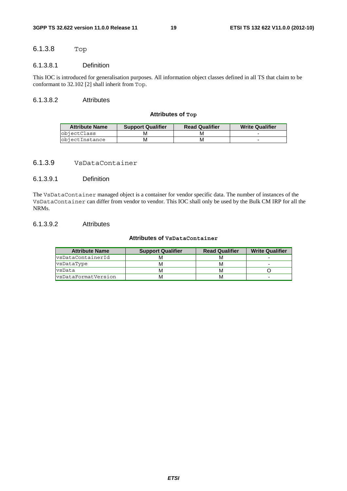#### 6.1.3.8 Top

#### 6.1.3.8.1 Definition

This IOC is introduced for generalisation purposes. All information object classes defined in all TS that claim to be conformant to 32.102 [2] shall inherit from Top.

#### 6.1.3.8.2 Attributes

#### **Attributes of Top**

| <b>Attribute Name</b> | <b>Support Qualifier</b> | <b>Read Qualifier</b> | <b>Write Qualifier</b> |  |
|-----------------------|--------------------------|-----------------------|------------------------|--|
| objectClass           |                          |                       |                        |  |
| objectInstance        | м                        |                       |                        |  |

#### 6.1.3.9 VsDataContainer

#### 6.1.3.9.1 Definition

The VsDataContainer managed object is a container for vendor specific data. The number of instances of the VsDataContainer can differ from vendor to vendor. This IOC shall only be used by the Bulk CM IRP for all the NRMs.

#### 6.1.3.9.2 Attributes

#### **Attributes of VsDataContainer**

| <b>Attribute Name</b>      | <b>Support Qualifier</b> | <b>Read Qualifier</b> | <b>Write Qualifier</b> |  |
|----------------------------|--------------------------|-----------------------|------------------------|--|
| vsDataContainerId          |                          | M                     |                        |  |
| vsDataType                 | м                        | M                     | ۰                      |  |
| vsData                     | м                        | M                     |                        |  |
| <b>s</b> DataFormatVersion | м                        | M                     | ۰                      |  |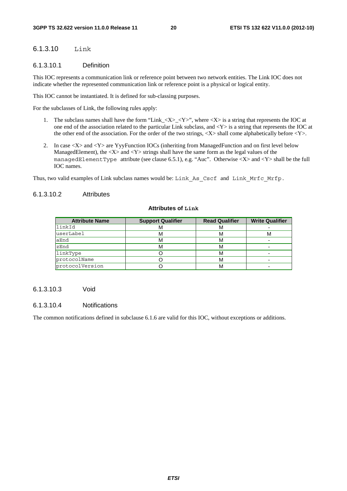#### 6.1.3.10 Link

#### 6.1.3.10.1 Definition

This IOC represents a communication link or reference point between two network entities. The Link IOC does not indicate whether the represented communication link or reference point is a physical or logical entity.

This IOC cannot be instantiated. It is defined for sub-classing purposes.

For the subclasses of Link, the following rules apply:

- 1. The subclass names shall have the form "Link\_<X>\_<Y>", where <X> is a string that represents the IOC at one end of the association related to the particular Link subclass, and <Y> is a string that represents the IOC at the other end of the association. For the order of the two strings,  $\langle X \rangle$  shall come alphabetically before  $\langle Y \rangle$ .
- 2. In case  $\langle X \rangle$  and  $\langle Y \rangle$  are YvyFunction IOCs (inheriting from ManagedFunction and on first level below ManagedElement), the  $\langle X \rangle$  and  $\langle Y \rangle$  strings shall have the same form as the legal values of the managedElementType attribute (see clause 6.5.1), e.g. "Auc". Otherwise  $\langle X \rangle$  and  $\langle Y \rangle$  shall be the full IOC names.

Thus, two valid examples of Link subclass names would be: Link\_As\_Cscf and Link\_Mrfc\_Mrfp.

#### 6.1.3.10.2 Attributes

#### **Attributes of Link**

| <b>Attribute Name</b> | <b>Support Qualifier</b> | <b>Read Qualifier</b> | <b>Write Qualifier</b> |  |
|-----------------------|--------------------------|-----------------------|------------------------|--|
| llinkId               | ΙVΙ                      | м                     |                        |  |
| userLabel             |                          | M                     | м                      |  |
| aEnd                  | M                        | M                     |                        |  |
| zEnd                  |                          | M                     |                        |  |
| linkType              |                          | М                     |                        |  |
| protocolName          |                          | М                     |                        |  |
| protocolVersion       |                          | M                     |                        |  |

#### 6.1.3.10.3 Void

#### 6.1.3.10.4 Notifications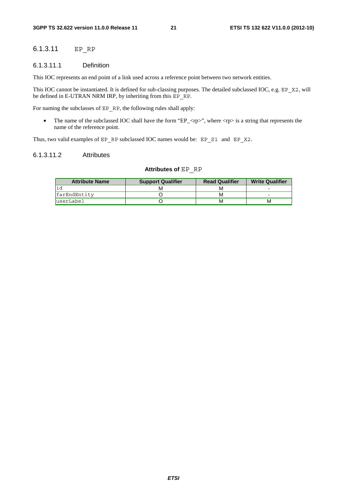#### 6.1.3.11 EP\_RP

#### 6.1.3.11.1 Definition

This IOC represents an end point of a link used across a reference point between two network entities.

This IOC cannot be instantiated. It is defined for sub-classing purposes. The detailed subclassed IOC, e.g. EP\_X2, will be defined in E-UTRAN NRM IRP, by inheriting from this EP\_RP.

For naming the subclasses of EP\_RP, the following rules shall apply:

• The name of the subclassed IOC shall have the form "EP\_ $\langle rp \rangle$ ", where  $\langle rp \rangle$  is a string that represents the name of the reference point.

Thus, two valid examples of EP\_RP subclassed IOC names would be: EP\_S1\_and EP\_X2.

#### 6.1.3.11.2 Attributes

#### **Attributes of** EP\_RP

| <b>Attribute Name</b> | <b>Support Qualifier</b> | <b>Read Qualifier</b> | <b>Write Qualifier</b> |  |
|-----------------------|--------------------------|-----------------------|------------------------|--|
|                       |                          | м                     |                        |  |
| farEndEntity          |                          | м                     | -                      |  |
| luserLabel            |                          | м                     | м                      |  |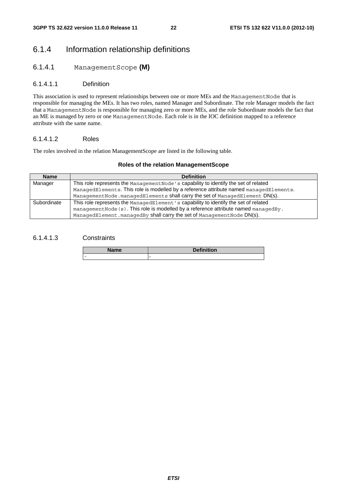### 6.1.4 Information relationship definitions

#### 6.1.4.1 ManagementScope **(M)**

#### 6.1.4.1.1 Definition

This association is used to represent relationships between one or more MEs and the ManagementNode that is responsible for managing the MEs. It has two roles, named Manager and Subordinate. The role Manager models the fact that a ManagementNode is responsible for managing zero or more MEs, and the role Subordinate models the fact that an ME is managed by zero or one ManagementNode. Each role is in the IOC definition mapped to a reference attribute with the same name.

#### 6.1.4.1.2 Roles

The roles involved in the relation ManagementScope are listed in the following table.

#### **Roles of the relation ManagementScope**

| <b>Name</b> | <b>Definition</b>                                                                      |
|-------------|----------------------------------------------------------------------------------------|
| Manager     | This role represents the Management Node's capability to identify the set of related   |
|             | ManagedElements. This role is modelled by a reference attribute named managedElements. |
|             | ManagementNode.managedElements shall carry the set of ManagedElement DN(s).            |
| Subordinate | This role represents the ManagedElement's capability to identify the set of related    |
|             | management Node (s). This role is modelled by a reference attribute named managedBy.   |
|             | ManagedElement.managedBy shall carry the set of ManagementNode DN(s).                  |

#### 6.1.4.1.3 Constraints

| <b>Definition</b><br>Name |  |
|---------------------------|--|
| $\overline{\phantom{a}}$  |  |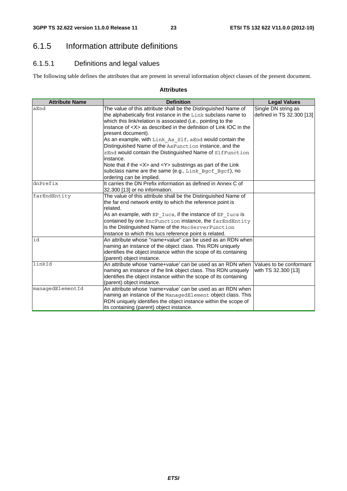### 6.1.5 Information attribute definitions

### 6.1.5.1 Definitions and legal values

The following table defines the attributes that are present in several information object classes of the present document.

#### **Attributes**

| <b>Attribute Name</b> | <b>Definition</b>                                                                       | <b>Legal Values</b>       |
|-----------------------|-----------------------------------------------------------------------------------------|---------------------------|
| aEnd                  | The value of this attribute shall be the Distinguished Name of                          | Single DN string as       |
|                       | the alphabetically first instance in the Link subclass name to                          | defined in TS 32.300 [13] |
|                       | which this link/relation is associated (i.e., pointing to the                           |                           |
|                       | instance of <x> as described in the definition of Link IOC in the</x>                   |                           |
|                       | present document).                                                                      |                           |
|                       | As an example, with Link As Slf, aEnd would contain the                                 |                           |
|                       | Distinguished Name of the AsFunction instance, and the                                  |                           |
|                       | zEnd would contain the Distinguished Name of SlfFunction                                |                           |
|                       | instance.                                                                               |                           |
|                       | Note that if the <x> and <y> substrings as part of the Link</y></x>                     |                           |
|                       | subclass name are the same (e.g., Link_Bgcf Bgcf), no                                   |                           |
|                       | ordering can be implied.                                                                |                           |
| dnPrefix              | It carries the DN Prefix information as defined in Annex C of                           |                           |
|                       | 32.300 [13] or no information.                                                          |                           |
| farEndEntity          | The value of this attribute shall be the Distinguished Name of                          |                           |
|                       | the far end network entity to which the reference point is                              |                           |
|                       | related.                                                                                |                           |
|                       | As an example, with $EP$ $Iucs$ , if the instance of $EP$ $Iucs$ is                     |                           |
|                       | contained by one RncFunction instance, the farEndEntity                                 |                           |
|                       | is the Distinguished Name of the MscServerFunction                                      |                           |
|                       | instance to which this lucs reference point is related.                                 |                           |
| id                    | An attribute whose "name+value" can be used as an RDN when                              |                           |
|                       | naming an instance of the object class. This RDN uniquely                               |                           |
|                       | identifies the object instance within the scope of its containing                       |                           |
|                       | (parent) object instance.                                                               |                           |
| linkId                | An attribute whose 'name+value' can be used as an RDN when                              | Values to be conformant   |
|                       | naming an instance of the link object class. This RDN uniquely                          | with TS 32.300 [13]       |
|                       | identifies the object instance within the scope of its containing                       |                           |
| managedElementId      | (parent) object instance.<br>An attribute whose 'name+value' can be used as an RDN when |                           |
|                       | naming an instance of the ManagedElement object class. This                             |                           |
|                       | RDN uniquely identifies the object instance within the scope of                         |                           |
|                       | its containing (parent) object instance.                                                |                           |
|                       |                                                                                         |                           |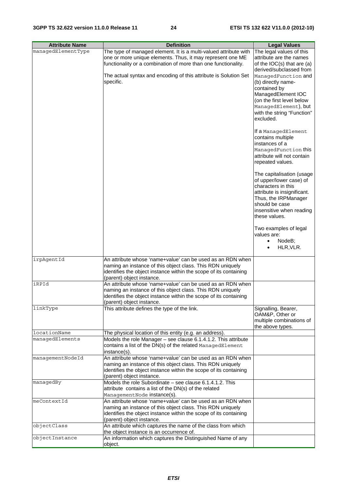| <b>Attribute Name</b> | <b>Definition</b>                                                                              | <b>Legal Values</b>                             |
|-----------------------|------------------------------------------------------------------------------------------------|-------------------------------------------------|
| managedElementType    | The type of managed element. It is a multi-valued attribute with                               | The legal values of this                        |
|                       | one or more unique elements. Thus, it may represent one ME                                     | attribute are the names                         |
|                       | functionality or a combination of more than one functionality.                                 | of the $IOC(s)$ that are $(a)$                  |
|                       |                                                                                                | derived/subclassed from                         |
|                       | The actual syntax and encoding of this attribute is Solution Set                               | ManagedFunction and                             |
|                       | specific.                                                                                      | (b) directly name-                              |
|                       |                                                                                                | contained by                                    |
|                       |                                                                                                | ManagedElement IOC<br>(on the first level below |
|                       |                                                                                                | ManagedElement), but                            |
|                       |                                                                                                | with the string "Function"                      |
|                       |                                                                                                | excluded.                                       |
|                       |                                                                                                |                                                 |
|                       |                                                                                                | If a ManagedElement<br>contains multiple        |
|                       |                                                                                                | instances of a                                  |
|                       |                                                                                                | ManagedFunction this                            |
|                       |                                                                                                | attribute will not contain                      |
|                       |                                                                                                | repeated values.                                |
|                       |                                                                                                | The capitalisation (usage                       |
|                       |                                                                                                | of upper/lower case) of                         |
|                       |                                                                                                | characters in this                              |
|                       |                                                                                                | attribute is insignificant.                     |
|                       |                                                                                                | Thus, the IRPManager<br>should be case          |
|                       |                                                                                                | insensitive when reading                        |
|                       |                                                                                                | these values.                                   |
|                       |                                                                                                |                                                 |
|                       |                                                                                                | Two examples of legal                           |
|                       |                                                                                                | values are:<br>NodeB;<br>$\bullet$              |
|                       |                                                                                                | HLR, VLR.<br>$\bullet$                          |
|                       |                                                                                                |                                                 |
| irpAgentId            | An attribute whose 'name+value' can be used as an RDN when                                     |                                                 |
|                       | naming an instance of this object class. This RDN uniquely                                     |                                                 |
|                       | identifies the object instance within the scope of its containing                              |                                                 |
|                       | (parent) object instance.                                                                      |                                                 |
| iRPId                 | An attribute whose 'name+value' can be used as an RDN when                                     |                                                 |
|                       | naming an instance of this object class. This RDN uniquely                                     |                                                 |
|                       | identifies the object instance within the scope of its containing<br>(parent) object instance. |                                                 |
| linkType              | This attribute defines the type of the link.                                                   | Signalling, Bearer,                             |
|                       |                                                                                                | OAM&P, Other or                                 |
|                       |                                                                                                | multiple combinations of                        |
|                       |                                                                                                | the above types.                                |
| locationName          | The physical location of this entity (e.g. an address).                                        |                                                 |
| managedElements       | Models the role Manager - see clause 6.1.4.1.2. This attribute                                 |                                                 |
|                       | contains a list of the DN(s) of the related ManagedElement                                     |                                                 |
| managementNodeId      | instance(s).<br>An attribute whose 'name+value' can be used as an RDN when                     |                                                 |
|                       | naming an instance of this object class. This RDN uniquely                                     |                                                 |
|                       | identifies the object instance within the scope of its containing                              |                                                 |
|                       | (parent) object instance.                                                                      |                                                 |
| managedBy             | Models the role Subordinate – see clause 6.1.4.1.2. This                                       |                                                 |
|                       | attribute contains a list of the DN(s) of the related                                          |                                                 |
|                       | ManagementNode instance(s).                                                                    |                                                 |
| meContextId           | An attribute whose 'name+value' can be used as an RDN when                                     |                                                 |
|                       | naming an instance of this object class. This RDN uniquely                                     |                                                 |
|                       | identifies the object instance within the scope of its containing<br>(parent) object instance. |                                                 |
| objectClass           | An attribute which captures the name of the class from which                                   |                                                 |
|                       | the object instance is an occurrence of.                                                       |                                                 |
| objectInstance        | An information which captures the Distinguished Name of any                                    |                                                 |
|                       | object.                                                                                        |                                                 |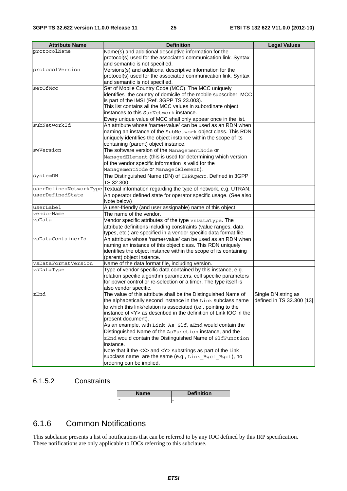| <b>Attribute Name</b> | <b>Definition</b>                                                                                     | <b>Legal Values</b>       |
|-----------------------|-------------------------------------------------------------------------------------------------------|---------------------------|
| protocolName          | Name(s) and additional descriptive information for the                                                |                           |
|                       | protocol(s) used for the associated communication link. Syntax                                        |                           |
|                       | and semantic is not specified.                                                                        |                           |
| protocolVersion       | Versions(s) and additional descriptive information for the                                            |                           |
|                       | protocol(s) used for the associated communication link. Syntax                                        |                           |
|                       | and semantic is not specified.                                                                        |                           |
| setOfMcc              | Set of Mobile Country Code (MCC). The MCC uniquely                                                    |                           |
|                       | identifies the country of domicile of the mobile subscriber. MCC                                      |                           |
|                       | is part of the IMSI (Ref. 3GPP TS 23.003).                                                            |                           |
|                       | This list contains all the MCC values in subordinate object<br>instances to this SubNetwork instance. |                           |
|                       |                                                                                                       |                           |
|                       | Every unique value of MCC shall only appear once in the list.                                         |                           |
| subNetworkId          | An attribute whose 'name+value' can be used as an RDN when                                            |                           |
|                       | naming an instance of the SubNetwork object class. This RDN                                           |                           |
|                       | uniquely identifies the object instance within the scope of its                                       |                           |
| swVersion             | containing (parent) object instance.                                                                  |                           |
|                       | The software version of the Management Node or                                                        |                           |
|                       | ManagedElement (this is used for determining which version                                            |                           |
|                       | of the vendor specific information is valid for the                                                   |                           |
|                       | ManagementNode Or ManagedElement).                                                                    |                           |
| systemDN              | The Distinguished Name (DN) of IRPAgent. Defined in 3GPP                                              |                           |
|                       | TS 32.300.                                                                                            |                           |
| userDefinedState      | userDefinedNetworkType Textual information regarding the type of network, e.g. UTRAN.                 |                           |
|                       | An operator defined state for operator specific usage. (See also<br>Note below)                       |                           |
| userLabel             | A user-friendly (and user assignable) name of this object.                                            |                           |
| vendorName            | The name of the vendor.                                                                               |                           |
| vsData                | Vendor specific attributes of the type vsDataType. The                                                |                           |
|                       | attribute definitions including constraints (value ranges, data                                       |                           |
|                       | types, etc.) are specified in a vendor specific data format file.                                     |                           |
| vsDataContainerId     | An attribute whose 'name+value' can be used as an RDN when                                            |                           |
|                       | naming an instance of this object class. This RDN uniquely                                            |                           |
|                       | identifies the object instance within the scope of its containing                                     |                           |
|                       | (parent) object instance.                                                                             |                           |
| vsDataFormatVersion   | Name of the data format file, including version.                                                      |                           |
| vsDataType            | Type of vendor specific data contained by this instance, e.g.                                         |                           |
|                       | relation specific algorithm parameters, cell specific parameters                                      |                           |
|                       | for power control or re-selection or a timer. The type itself is                                      |                           |
|                       | also vendor specific.                                                                                 |                           |
| zEnd                  | The value of this attribute shall be the Distinguished Name of                                        | Single DN string as       |
|                       | the alphabetically second instance in the Link subclass name                                          | defined in TS 32.300 [13] |
|                       | to which this link/relation is associated (i.e., pointing to the                                      |                           |
|                       | instance of <y> as described in the definition of Link IOC in the</y>                                 |                           |
|                       | present document).                                                                                    |                           |
|                       | As an example, with Link As Slf, aEnd would contain the                                               |                           |
|                       | Distinguished Name of the AsFunction instance, and the                                                |                           |
|                       | zEnd would contain the Distinguished Name of SlfFunction                                              |                           |
|                       | instance.<br>Note that if the <x> and <y> substrings as part of the Link</y></x>                      |                           |
|                       |                                                                                                       |                           |
|                       | subclass name are the same (e.g., Link Bgcf Bgcf), no                                                 |                           |
|                       | ordering can be implied.                                                                              |                           |

#### 6.1.5.2 Constraints

| ле | <b>Definition</b> |
|----|-------------------|
|    | -                 |

### 6.1.6 Common Notifications

This subclause presents a list of notifications that can be referred to by any IOC defined by this IRP specification. These notifications are only applicable to IOCs referring to this subclause.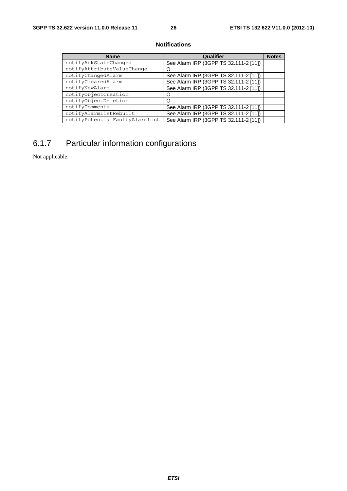#### **Notifications**

| <b>Name</b>                    | Qualifier                             | <b>Notes</b> |
|--------------------------------|---------------------------------------|--------------|
| notifyAckStateChanged          | See Alarm IRP (3GPP TS 32.111-2 [11]) |              |
| notifyAttributeValueChange     |                                       |              |
| notifyChangedAlarm             | See Alarm IRP (3GPP TS 32.111-2 [11]) |              |
| notifyClearedAlarm             | See Alarm IRP (3GPP TS 32.111-2 [11]) |              |
| notifyNewAlarm                 | See Alarm IRP (3GPP TS 32.111-2 [11]) |              |
| notifyObjectCreation           |                                       |              |
| notifyObjectDeletion           |                                       |              |
| notifyComments                 | See Alarm IRP (3GPP TS 32.111-2 [11]) |              |
| notifyAlarmListRebuilt         | See Alarm IRP (3GPP TS 32.111-2 [11]) |              |
| notifyPotentialFaultyAlarmList | See Alarm IRP (3GPP TS 32.111-2 [11]) |              |

## 6.1.7 Particular information configurations

Not applicable.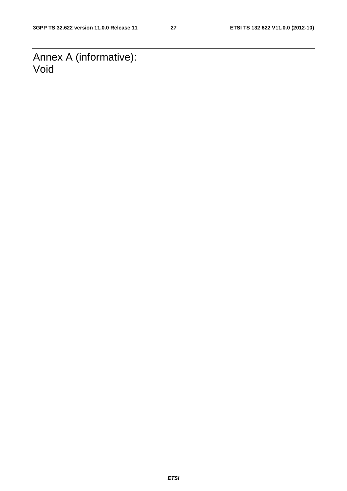Annex A (informative): Void

*ETSI*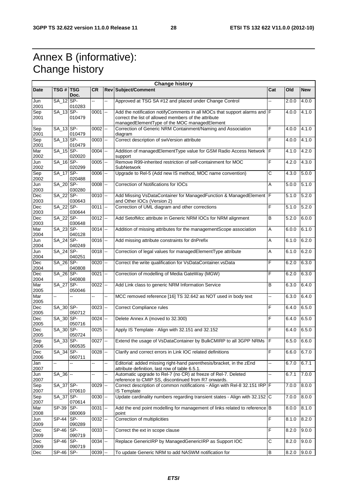## Annex B (informative): Change history

|                    | <b>Change history</b> |               |            |    |                                                                                                                                                                                   |              |       |            |
|--------------------|-----------------------|---------------|------------|----|-----------------------------------------------------------------------------------------------------------------------------------------------------------------------------------|--------------|-------|------------|
| Date               | TSG #   TSG           | Doc.          | <b>CR</b>  |    | <b>Rev Subject/Comment</b>                                                                                                                                                        | Cat          | Old   | <b>New</b> |
| Jun<br>2001        | SA_12 SP-             | 010283        | Щ,         | Ξ. | Approved at TSG SA #12 and placed under Change Control                                                                                                                            | --           | 2.0.0 | 4.0.0      |
| Sep<br>2001        | $SA_13$ SP-           | 010479        | $0001$ --  |    | Add the notification notifyComments in all MOCs that support alarms and F<br>correct the list of allowed members of the attribute<br>managedElementType of the MOC managedElement |              | 4.0.0 | 4.1.0      |
| Sep                | SA_13 SP-             |               | $0002$ $-$ |    | Correction of Generic NRM Containment/Naming and Association                                                                                                                      | F            | 4.0.0 | 4.1.0      |
| 2001<br>Sep        | SA_13 SP-             | 010479        | $0003$ $-$ |    | diagram<br>Correct description of swVersion attribute                                                                                                                             | F            | 4.0.0 | 4.1.0      |
| 2001<br>Mar        | $SA_15$ SP-           | 010479        | $0004$ $-$ |    | Addition of managedElementType value for GSM Radio Access Network   F                                                                                                             |              | 4.1.0 | 4.2.0      |
| 2002               |                       | 020020        |            |    | support                                                                                                                                                                           |              |       |            |
| Jun<br>2002        | SA_16 SP-             | 020299        | $0005$ $-$ |    | Remove R99-inherited restriction of self-containment for MOC<br>SubNetwork                                                                                                        | F            | 4.2.0 | 4.3.0      |
| Sep<br>2002        | SA 17 SP-             | 020488        | $0006$ $-$ |    | Upgrade to Rel-5 (Add new IS method, MOC name convention)                                                                                                                         | $\mathsf{C}$ | 4.3.0 | 5.0.0      |
| Jun<br>2003        | SA_20 SP-             | 030280        | $0008$ $-$ |    | Correction of Notifications for IOCs                                                                                                                                              | Α            | 5.0.0 | 5.1.0      |
| <b>Dec</b><br>2003 | SA 22 SP-             | 030643        | $0010$ --  |    | Add Missing VsDataContainer for ManagedFunction & ManagedElement F<br>and Other IOCs (Version 2)                                                                                  |              | 5.1.0 | 5.2.0      |
| Dec<br>2003        | SA 22 SP-             | 030644        | $0011$ $-$ |    | Correction of UML diagram and other corrections                                                                                                                                   | F            | 5.1.0 | 5.2.0      |
| Dec<br>2003        | SA_22 SP-             | 030648        | $0012$ --  |    | Add SetofMcc attribute in Generic NRM IOCs for NRM alignment                                                                                                                      | B            | 5.2.0 | 6.0.0      |
| Mar<br>2004        | SA 23 SP-             | 040128        | $0014$ --  |    | Addition of missing attributes for the managementScope association                                                                                                                | A            | 6.0.0 | 6.1.0      |
| Jun<br>2004        | SA_24 SP-             | 040249        | $0016$ --  |    | Add missing attribute constraints for dnPrefix                                                                                                                                    | Α            | 6.1.0 | 6.2.0      |
| Jun<br>2004        | SA 24 SP-             | 040251        | $0018$ --  |    | Correction of legal values for managedElementType attribute                                                                                                                       | Α            | 6.1.0 | 6.2.0      |
| Dec<br>2004        | SA 26 SP-             | 040808        | $0020$ $-$ |    | Correct the write qualification for VsDataContainer.vsData                                                                                                                        | F            | 6.2.0 | 6.3.0      |
| Dec<br>2004        | SA_26 SP-             | 040808        | $0021$ $-$ |    | Correction of modelling of Media GateWay (MGW)                                                                                                                                    | F            | 6.2.0 | 6.3.0      |
| Mar<br>2005        | SA 27 SP-             | 050046        | $0022$ --  |    | Add Link class to generic NRM Information Service                                                                                                                                 | B            | 6.3.0 | 6.4.0      |
| Mar<br>2005        | --                    | ۵.            |            | 44 | MCC removed reference [16] TS 32.642 as NOT used in body text                                                                                                                     | Щ,           | 6.3.0 | 6.4.0      |
| Dec<br>2005        | SA 30 SP-             | 050712        | $0023$ --  |    | <b>Correct Compliance rules</b>                                                                                                                                                   | F            | 6.4.0 | 6.5.0      |
| Dec<br>2005        | SA_30 SP-             | 050716        | $0024$ $-$ |    | Delete Annex A (moved to 32.300)                                                                                                                                                  | F            | 6.4.0 | 6.5.0      |
| Dec<br>2005        | SA_30 SP-             | 050724        | $0025$ $-$ |    | Apply IS Template - Align with 32.151 and 32.152                                                                                                                                  | F            | 6.4.0 | 6.5.0      |
| Sep<br>2006        | SA_33 SP-             | 060535        | $0027$ --  |    | Extend the usage of VsDataContainer by BulkCMIRP to all 3GPP NRMs   F                                                                                                             |              | 6.5.0 | 6.6.0      |
| Dec<br>2006        | SA 34 SP-             | 060711        | $0028$ --  |    | Clarify and correct errors in Link IOC related definitions                                                                                                                        | F            | 6.6.0 | 6.7.0      |
| Jan<br>2007        | ш,                    |               | --         | -- | Editorial: added missing right-hand parenthesis/bracket, in the zEnd<br>attribute definition, last row of table 6.5.1.                                                            | --           | 6.7.0 | 6.7.1      |
| Jun<br>2007        | $SA_36$ --            |               | Щ,         | Щ. | Automatic upgrade to Rel-7 (no CR) at freeze of Rel-7. Deleted<br>reference to CMIP SS, discontinued from R7 onwards.                                                             | Ш.           | 6.7.1 | 7.0.0      |
| Sep<br>2007        | SA_37 SP-             | 070610        | $0029$ $-$ |    | Correct description of common notifications - Align with Rel-8 32.151 IRP F<br><b>IS Template</b>                                                                                 |              | 7.0.0 | 8.0.0      |
| Sep<br>2007        | SA_37 SP-             | 070614        | $0030$ --  |    | Update cardinality numbers regarding transient states - Align with 32.152 C                                                                                                       |              | 7.0.0 | 8.0.0      |
| Mar<br>2008        | SP-39 SP-             | 080069        | $0031$ $-$ |    | Add the end point modelling for management of links related to reference B<br>point                                                                                               |              | 8.0.0 | 8.1.0      |
| Jun<br>2009        | <b>SP-44</b>          | SP-<br>090289 | $0032 -$   |    | Correction of multiplicities                                                                                                                                                      | F            | 8.1.0 | 8.2.0      |
| Dec<br>2009        | SP-46 SP-             | 090719        | $0033$ $-$ |    | Correct the ext in scope clause                                                                                                                                                   | F            | 8.2.0 | 9.0.0      |
| Dec<br>2009        | SP-46                 | SP-<br>090719 | $0034$ $-$ |    | Replace GenericIRP by ManagedGenericIRP as Support IOC                                                                                                                            | C            | 8.2.0 | 9.0.0      |
| Dec                | $SP-46$ SP-           |               | $0039$ $-$ |    | To update Generic NRM to add NASWM notification for                                                                                                                               | B            | 8.2.0 | 9.0.0      |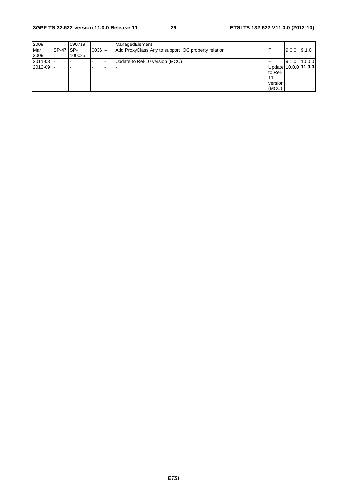| 2009          |                  | 090719 |            | ManagedElement                                      |                      |       |        |
|---------------|------------------|--------|------------|-----------------------------------------------------|----------------------|-------|--------|
| Mar           | <b>SP-47 SP-</b> |        | $0036$ $-$ | Add ProxyClass Any to support IOC property relation |                      | 9.0.0 | 9.1.0  |
| 2009          |                  | 100035 |            |                                                     |                      |       |        |
| $ 2011-03 $   |                  |        |            | Update to Rel-10 version (MCC)                      |                      | 9.1.0 | 10.0.0 |
| $2012 - 09$ - |                  |        |            |                                                     | Update 10.0.0 11.0.0 |       |        |
|               |                  |        |            |                                                     | to Rel-              |       |        |
|               |                  |        |            |                                                     |                      |       |        |
|               |                  |        |            |                                                     | version              |       |        |
|               |                  |        |            |                                                     | (MCC)                |       |        |